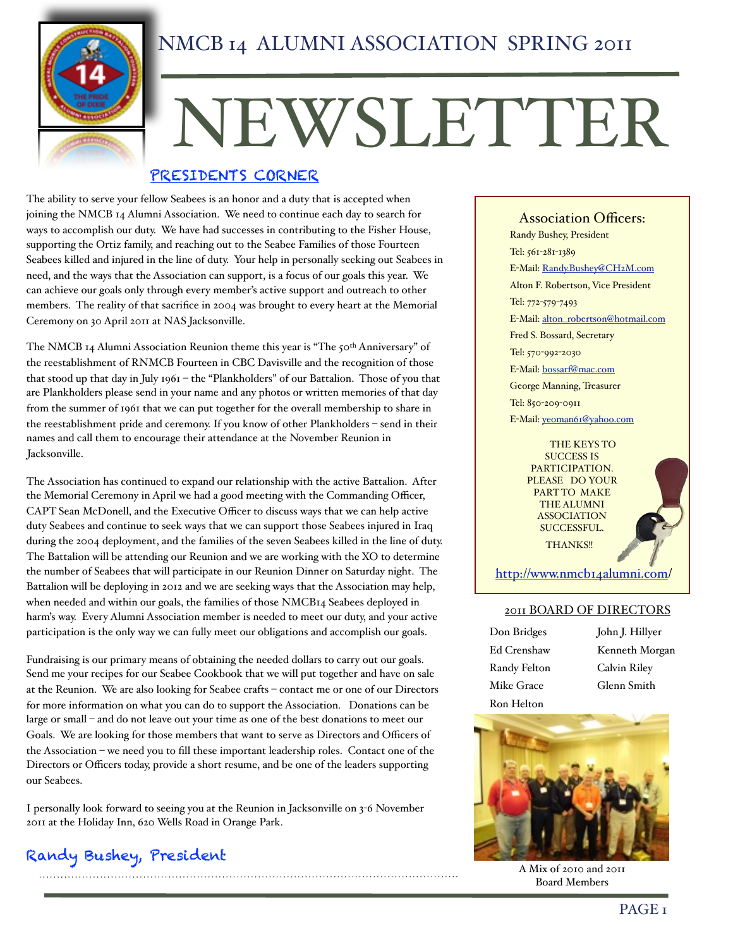

# NMCB 14 ALUMNI ASSOCIATION SPRING 2011

# NEWSLETTER

#### PRESIDENTS CORNER

The ability to serve your fellow Seabees is an honor and a duty that is accepted when joining the NMCB 14 Alumni Association. We need to continue each day to search for ways to accomplish our duty. We have had successes in contributing to the Fisher House, supporting the Ortiz family, and reaching out to the Seabee Families of those Fourteen Seabees killed and injured in the line of duty. Your help in personally seeking out Seabees in need, and the ways that the Association can support, is a focus of our goals this year. We can achieve our goals only through every member's active support and outreach to other members. The reality of that sacrifice in 2004 was brought to every heart at the Memorial Ceremony on 30 April 2011 at NAS Jacksonville.

The NMCB 14 Alumni Association Reunion theme this year is "The 50th Anniversary" of the reestablishment of RNMCB Fourteen in CBC Davisville and the recognition of those that stood up that day in July 1961 – the "Plankholders" of our Battalion. Those of you that are Plankholders please send in your name and any photos or written memories of that day from the summer of 1961 that we can put together for the overall membership to share in the reestablishment pride and ceremony. If you know of other Plankholders – send in their names and call them to encourage their attendance at the November Reunion in Jacksonville.

The Association has continued to expand our relationship with the active Battalion. After the Memorial Ceremony in April we had a good meeting with the Commanding Officer, CAPT Sean McDonell, and the Executive Officer to discuss ways that we can help active duty Seabees and continue to seek ways that we can support those Seabees injured in Iraq during the 2004 deployment, and the families of the seven Seabees killed in the line of duty. The Battalion will be attending our Reunion and we are working with the XO to determine the number of Seabees that will participate in our Reunion Dinner on Saturday night. The Battalion will be deploying in 2012 and we are seeking ways that the Association may help, when needed and within our goals, the families of those NMCB14 Seabees deployed in harm's way. Every Alumni Association member is needed to meet our duty, and your active participation is the only way we can fully meet our obligations and accomplish our goals.

Fundraising is our primary means of obtaining the needed dollars to carry out our goals. Send me your recipes for our Seabee Cookbook that we will put together and have on sale at the Reunion. We are also looking for Seabee crafts – contact me or one of our Directors for more information on what you can do to support the Association. Donations can be large or small – and do not leave out your time as one of the best donations to meet our Goals. We are looking for those members that want to serve as Directors and Officers of the Association – we need you to fill these important leadership roles. Contact one of the Directors or Officers today, provide a short resume, and be one of the leaders supporting our Seabees.

I personally look forward to seeing you at the Reunion in Jacksonville on 3-6 November 2011 at the Holiday Inn, 620 Wells Road in Orange Park.

### Randy Bushey, President

Association Officers: Randy Bushey, President Tel: 561-281-1389 E-Mail: [Randy.Bushey@CH2M.com](mailto:Randy.Bushey@CH2M.com) Alton F. Robertson, Vice President Tel: 772-579-7493 E-Mail: [alton\\_robertson@hotmail.com](mailto:alton_robertson@hotmail.com) Fred S. Bossard, Secretary Tel: 570-992-2030 E-Mail: [bossarf@mac.com](mailto:bossarf@mac.com) George Manning, Treasurer Tel: 850-209-0911 E-Mail: [yeoman61@yahoo.com](mailto:r.l.helton@att.net)

#### THE KEYS TO SUCCESS IS PARTICIPATION. PLEASE DO YOUR PART TO MAKE THE ALUMNI ASSOCIATION SUCCESSFUL. THANKS!!



[http://www.nmcb14alumni.com/](http://www.nmcb14alumni.com)

#### 2011 BOARD OF DIRECTORS

Don Bridges John J. Hillyer Randy Felton Calvin Riley Mike Grace Glenn Smith Ron Helton\$ \$

Ed Crenshaw Kenneth Morgan



A Mix of 2010 and 2011 Board Members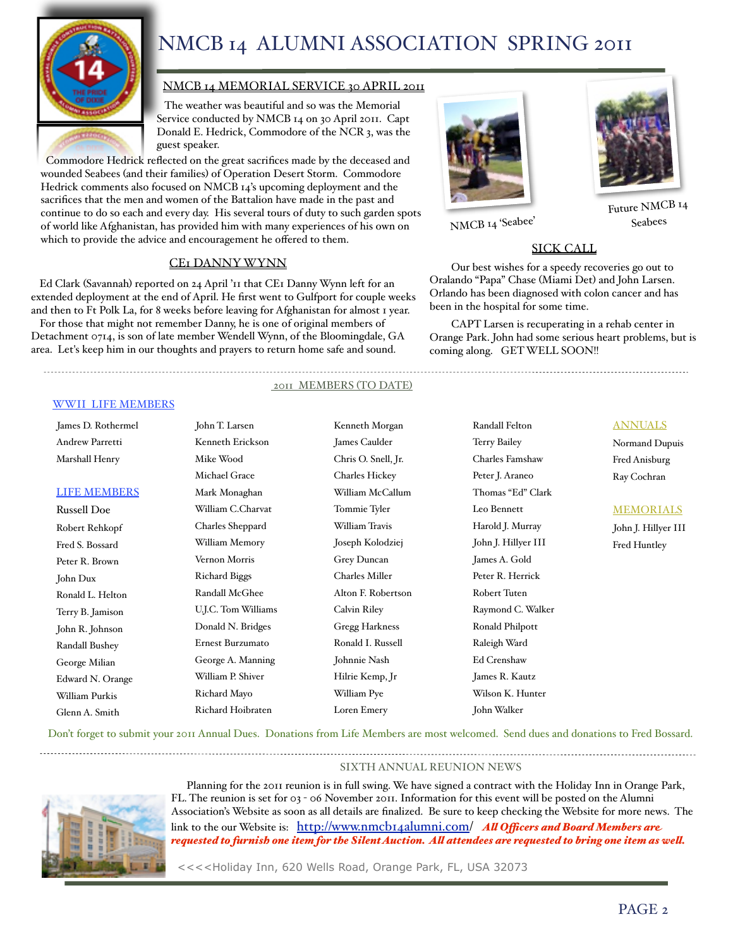

# NMCB 14 ALUMNI ASSOCIATION SPRING 2011

#### NMCB 14 MEMORIAL SERVICE 30 APRIL 2011

 The weather was beautiful and so was the Memorial Service conducted by NMCB 14 on 30 April 2011. Capt Donald E. Hedrick, Commodore of the NCR 3, was the guest speaker.

 Commodore Hedrick reflected on the great sacrifices made by the deceased and wounded Seabees (and their families) of Operation Desert Storm. Commodore Hedrick comments also focused on NMCB 14's upcoming deployment and the sacrifices that the men and women of the Battalion have made in the past and continue to do so each and every day. His several tours of duty to such garden spots of world like Afghanistan, has provided him with many experiences of his own on which to provide the advice and encouragement he offered to them.

#### CE1 DANNY WYNN

 Ed Clark (Savannah) reported on 24 April '11 that CE1 Danny Wynn left for an extended deployment at the end of April. He first went to Gulfport for couple weeks and then to Ft Polk La, for 8 weeks before leaving for Afghanistan for almost 1 year. For those that might not remember Danny, he is one of original members of

Detachment 0714, is son of late member Wendell Wynn, of the Bloomingdale, GA area. Let's keep him in our thoughts and prayers to return home safe and sound.

John T. Larsen Kenneth Erickson



NMCB 14 'Seabee'



Future NMCB 14 Seabees

#### SICK CALL

Our best wishes for a speedy recoveries go out to Oralando "Papa" Chase (Miami Det) and John Larsen. Orlando has been diagnosed with colon cancer and has been in the hospital for some time.

CAPT Larsen is recuperating in a rehab center in Orange Park. John had some serious heart problems, but is coming along. GET WELL SOON!!

WWII LIFE MEMBERS

James D. Rothermel Andrew Parretti Marshall Henry

#### LIFE MEMBERS

Russell Doe Robert Rehkopf Fred S. Bossard Peter R. Brown John Dux Ronald L. Helton Terry B. Jamison John R. Johnson Randall Bushey George Milian Edward N. Orange William Purkis Glenn A. Smith

Mike Wood Michael Grace Mark Monaghan William C.Charvat Charles Sheppard William Memory Vernon Morris Richard Biggs Randall McGhee U.J.C. Tom Williams Donald N. Bridges Ernest Burzumato George A. Manning William P. Shiver Richard Mayo Richard Hoibraten

Kenneth Morgan James Caulder Chris O. Snell, Jr. Charles Hickey William McCallum Tommie Tyler William Travis Joseph Kolodziej Grey Duncan Charles Miller Alton F. Robertson Calvin Riley Gregg Harkness Ronald I. Russell Johnnie Nash Hilrie Kemp, Jr William Pye

2011 MEMBERS (TO DATE)

Terry Bailey Charles Famshaw Peter J. Araneo Thomas "Ed" Clark Leo Bennett Harold J. Murray John J. Hillyer III James A. Gold Peter R. Herrick Robert Tuten Raymond C. Walker Ronald Philpott Raleigh Ward Ed Crenshaw James R. Kautz Wilson K. Hunter John Walker

Randall Felton

#### ANNUALS

Normand Dupuis Fred Anisburg Ray Cochran

#### MEMORIALS

John J. Hillyer III Fred Huntley

Don't forget to submit your 2011 Annual Dues. Donations from Life Members are most welcomed. Send dues and donations to Fred Bossard.

Loren Emery

SIXTH ANNUAL REUNION NEWS



Planning for the 2011 reunion is in full swing. We have signed a contract with the Holiday Inn in Orange Park, FL. The reunion is set for 03 - 06 November 2011. Information for this event will be posted on the Alumni Association's Website as soon as all details are finalized. Be sure to keep checking the Website for more news. The link to the our Website is: [http://www.nmcb14alumni.com/](http://www.nmcb14alumni.com) *A! O"cers and Board Members are requested to furnish one item for the Silent Auction. A! attendees are requested to bring one item as we!.*

<<<<Holiday Inn, 620 Wells Road, Orange Park, FL, USA 32073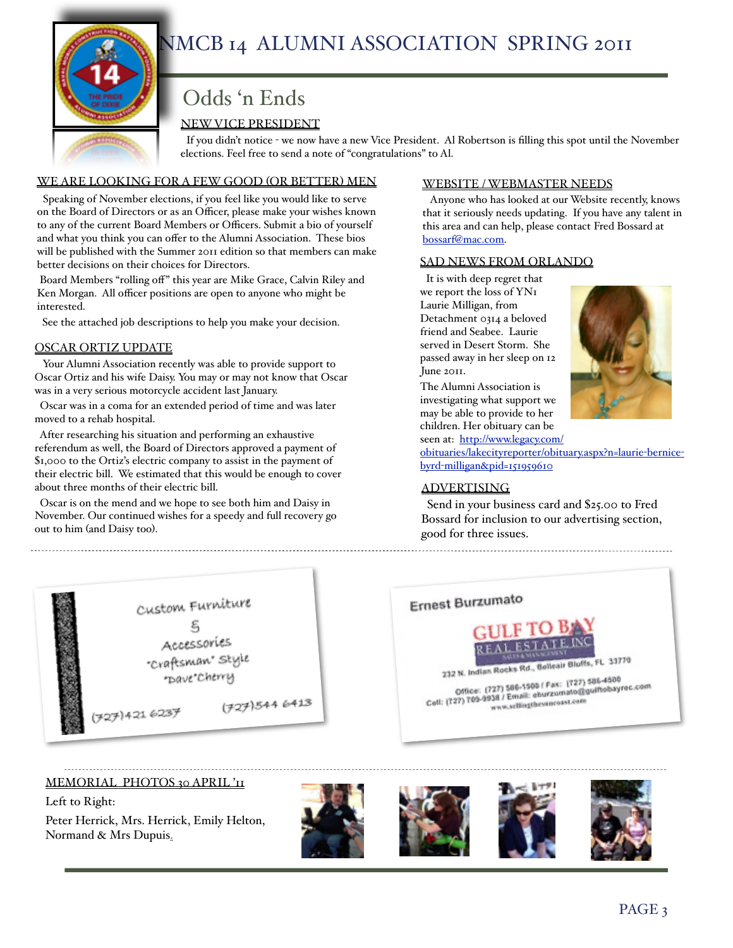

# Odds 'n Ends

#### NEW VICE PRESIDENT

 If you didn't notice - we now have a new Vice President. Al Robertson is filling this spot until the November elections. Feel free to send a note of "congratulations" to Al.

#### WE ARE LOOKING FOR A FEW GOOD (OR BETTER) MEN

 Speaking of November elections, if you feel like you would like to serve on the Board of Directors or as an Officer, please make your wishes known to any of the current Board Members or Officers. Submit a bio of yourself and what you think you can offer to the Alumni Association. These bios will be published with the Summer 2011 edition so that members can make better decisions on their choices for Directors.

 Board Members "rolling off" this year are Mike Grace, Calvin Riley and Ken Morgan. All officer positions are open to anyone who might be interested.

See the attached job descriptions to help you make your decision.

#### OSCAR ORTIZ UPDATE

 Your Alumni Association recently was able to provide support to Oscar Ortiz and his wife Daisy. You may or may not know that Oscar was in a very serious motorcycle accident last January.

 Oscar was in a coma for an extended period of time and was later moved to a rehab hospital.

 After researching his situation and performing an exhaustive referendum as well, the Board of Directors approved a payment of \$1,000 to the Ortiz's electric company to assist in the payment of their electric bill. We estimated that this would be enough to cover about three months of their electric bill.

 Oscar is on the mend and we hope to see both him and Daisy in November. Our continued wishes for a speedy and full recovery go out to him (and Daisy too).



#### WEBSITE / WEBMASTER NEEDS

 Anyone who has looked at our Website recently, knows that it seriously needs updating. If you have any talent in this area and can help, please contact Fred Bossard at [bossarf@mac.com.](mailto:bossarf@mac.com)

#### SAD NEWS FROM ORLANDO

 It is with deep regret that we report the loss of YN1 Laurie Milligan, from Detachment 0314 a beloved friend and Seabee. Laurie served in Desert Storm. She passed away in her sleep on 12 June 2011.

The Alumni Association is investigating what support we may be able to provide to her children. Her obituary can be seen at: [http://www.legacy.com/](http://www.legacy.com/obituaries/lakecityreporter/obituary.aspx?n=laurie-bernice-byrd-milligan&pid=151959610)



[obituaries/lakecityreporter/obituary.aspx?n=laurie](http://www.legacy.com/obituaries/lakecityreporter/obituary.aspx?n=laurie-bernice-byrd-milligan&pid=151959610)-bernicebyrd-[milligan&pid=151959610](http://www.legacy.com/obituaries/lakecityreporter/obituary.aspx?n=laurie-bernice-byrd-milligan&pid=151959610)

#### ADVERTISING

 Send in your business card and \$25.00 to Fred Bossard for inclusion to our advertising section, good for three issues.



#### MEMORIAL PHOTOS 30 APRIL'II

Left to Right:

Peter Herrick, Mrs. Herrick, Emily Helton, Normand & Mrs Dupuis.

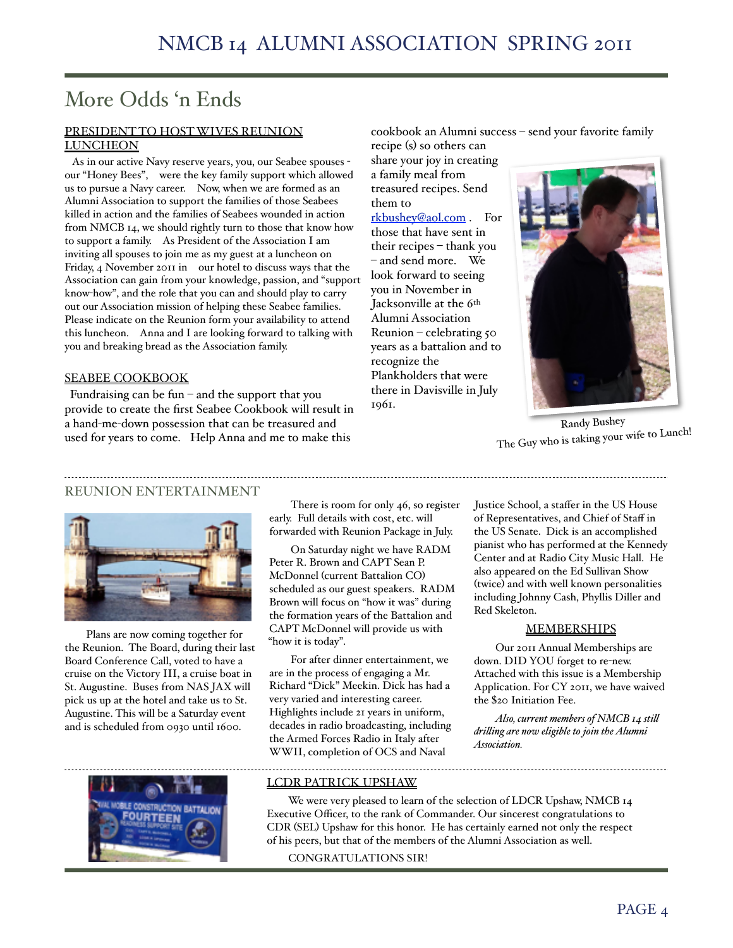# More Odds 'n Ends

#### PRESIDENT TO HOST WIVES REUNION LUNCHEON

 As in our active Navy reserve years, you, our Seabee spouses our "Honey Bees", were the key family support which allowed us to pursue a Navy career. Now, when we are formed as an Alumni Association to support the families of those Seabees killed in action and the families of Seabees wounded in action from NMCB 14, we should rightly turn to those that know how to support a family. As President of the Association I am inviting all spouses to join me as my guest at a luncheon on Friday, 4 November 2011 in our hotel to discuss ways that the Association can gain from your knowledge, passion, and "support know-how", and the role that you can and should play to carry out our Association mission of helping these Seabee families. Please indicate on the Reunion form your availability to attend this luncheon. Anna and I are looking forward to talking with you and breaking bread as the Association family.

#### SEABEE COOKBOOK

 Fundraising can be fun – and the support that you provide to create the first Seabee Cookbook will result in a hand-me-down possession that can be treasured and used for years to come. Help Anna and me to make this

cookbook an Alumni success – send your favorite family

recipe (s) so others can share your joy in creating a family meal from treasured recipes. Send them to [rkbushey@aol.com](mailto:rkbushey@aol.com) . For those that have sent in their recipes – thank you – and send more. We look forward to seeing you in November in Jacksonville at the 6th Alumni Association Reunion – celebrating 50 years as a battalion and to recognize the Plankholders that were there in Davisville in July 1961.



Randy Bushey The Guy who is taking your wife to Lunch!

#### REUNION ENTERTAINMENT



Plans are now coming together for the Reunion. The Board, during their last Board Conference Call, voted to have a cruise on the Victory III, a cruise boat in St. Augustine. Buses from NAS JAX will pick us up at the hotel and take us to St. Augustine. This will be a Saturday event and is scheduled from 0930 until 1600.

There is room for only 46, so register early. Full details with cost, etc. will forwarded with Reunion Package in July.

On Saturday night we have RADM Peter R. Brown and CAPT Sean P. McDonnel (current Battalion CO) scheduled as our guest speakers. RADM Brown will focus on "how it was" during the formation years of the Battalion and CAPT McDonnel will provide us with "how it is today".

For after dinner entertainment, we are in the process of engaging a Mr. Richard "Dick" Meekin. Dick has had a very varied and interesting career. Highlights include 21 years in uniform, decades in radio broadcasting, including the Armed Forces Radio in Italy after WWII, completion of OCS and Naval

Justice School, a staffer in the US House of Representatives, and Chief of Staff in the US Senate. Dick is an accomplished pianist who has performed at the Kennedy Center and at Radio City Music Hall. He also appeared on the Ed Sullivan Show (twice) and with well known personalities including Johnny Cash, Phyllis Diller and Red Skeleton.

#### MEMBERSHIPS

Our 2011 Annual Memberships are down. DID YOU forget to re-new. Attached with this issue is a Membership Application. For CY 2011, we have waived the \$20 Initiation Fee.

*Also, current members of NMCB 14 sti! dri!ing are now eligible to join the Alumni Association.*



#### LCDR PATRICK UPSHAW

We were very pleased to learn of the selection of LDCR Upshaw, NMCB 14 Executive Officer, to the rank of Commander. Our sincerest congratulations to CDR (SEL) Upshaw for this honor. He has certainly earned not only the respect of his peers, but that of the members of the Alumni Association as well.

CONGRATULATIONS SIR!